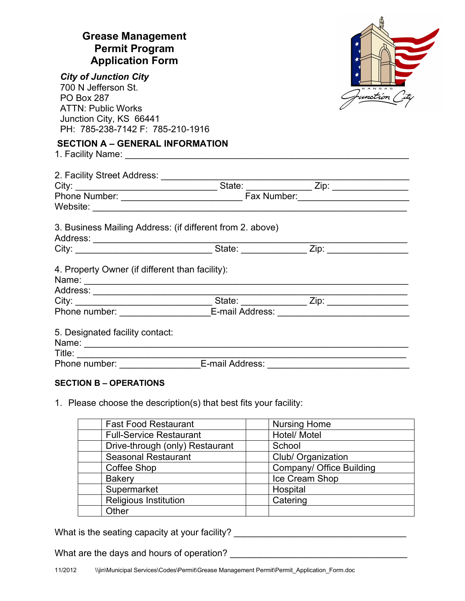| <b>Grease Management</b><br><b>Permit Program</b><br><b>Application Form</b>                                                                                         |  |                         |
|----------------------------------------------------------------------------------------------------------------------------------------------------------------------|--|-------------------------|
| <b>City of Junction City</b><br>700 N Jefferson St.<br><b>PO Box 287</b><br><b>ATTN: Public Works</b>                                                                |  | KANSAS<br>Junction City |
| Junction City, KS 66441<br>PH: 785-238-7142 F: 785-210-1916                                                                                                          |  |                         |
| <b>SECTION A - GENERAL INFORMATION</b>                                                                                                                               |  |                         |
|                                                                                                                                                                      |  |                         |
|                                                                                                                                                                      |  |                         |
|                                                                                                                                                                      |  |                         |
| 3. Business Mailing Address: (if different from 2. above)                                                                                                            |  |                         |
|                                                                                                                                                                      |  |                         |
| 4. Property Owner (if different than facility):                                                                                                                      |  |                         |
|                                                                                                                                                                      |  |                         |
|                                                                                                                                                                      |  |                         |
| Phone number: _______________________E-mail Address: ___________________________                                                                                     |  |                         |
| 5. Designated facility contact:                                                                                                                                      |  |                         |
|                                                                                                                                                                      |  |                         |
| Title: _________________________________E-mail Address: ________________________<br>Phone number: ___________________E-mail Address: _______________________________ |  |                         |

## **SECTION B – OPERATIONS**

1. Please choose the description(s) that best fits your facility:

| <b>Fast Food Restaurant</b>     | <b>Nursing Home</b>      |
|---------------------------------|--------------------------|
| <b>Full-Service Restaurant</b>  | Hotel/ Motel             |
| Drive-through (only) Restaurant | School                   |
| <b>Seasonal Restaurant</b>      | Club/ Organization       |
| Coffee Shop                     | Company/ Office Building |
| <b>Bakery</b>                   | Ice Cream Shop           |
| Supermarket                     | Hospital                 |
| <b>Religious Institution</b>    | Catering                 |
| Other                           |                          |

What is the seating capacity at your facility? \_\_\_\_\_\_\_\_\_\_\_\_\_\_\_\_\_\_\_\_\_\_\_\_\_\_\_\_\_\_\_\_\_

What are the days and hours of operation? \_\_\_\_\_\_\_\_\_\_\_\_\_\_\_\_\_\_\_\_\_\_\_\_\_\_\_\_\_\_\_\_\_\_\_